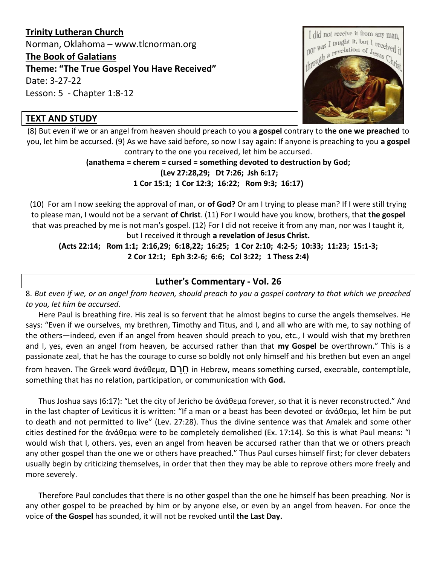# **Trinity Lutheran Church**

Norman, Oklahoma – www.tlcnorman.org

#### **The Book of Galatians**

**Theme: "The True Gospel You Have Received"**

Date: 3-27-22

Lesson: 5 - Chapter 1:8-12

## **TEXT AND STUDY**



(8) But even if we or an angel from heaven should preach to you **a gospel** contrary to **the one we preached** to you, let him be accursed. (9) As we have said before, so now I say again: If anyone is preaching to you **a gospel** contrary to the one you received, let him be accursed.

> **(anathema = cherem = cursed = something devoted to destruction by God; (Lev 27:28,29; Dt 7:26; Jsh 6:17; 1 Cor 15:1; 1 Cor 12:3; 16:22; Rom 9:3; 16:17)**

(10)For am I now seeking the approval of man, or **of God?** Or am I trying to please man? If I were still trying to please man, I would not be a servant **of Christ**. (11) For I would have you know, brothers, that **the gospel** that was preached by me is not man's gospel. (12) For I did not receive it from any man, nor was I taught it, but I received it through **a revelation of Jesus Christ.**

**(Acts 22:14; Rom 1:1; 2:16,29; 6:18,22; 16:25; 1 Cor 2:10; 4:2-5; 10:33; 11:23; 15:1-3; 2 Cor 12:1; Eph 3:2-6; 6:6; Col 3:22; 1 Thess 2:4)**

### **Luther's Commentary - Vol. 26**

8. *But even if we, or an angel from heaven, should preach to you a gospel contrary to that which we preached to you, let him be accursed*.

Here Paul is breathing fire. His zeal is so fervent that he almost begins to curse the angels themselves. He says: "Even if we ourselves, my brethren, Timothy and Titus, and I, and all who are with me, to say nothing of the others—indeed, even if an angel from heaven should preach to you, etc., I would wish that my brethren and I, yes, even an angel from heaven, be accursed rather than that **my Gospel** be overthrown." This is a passionate zeal, that he has the courage to curse so boldly not only himself and his brethen but even an angel from heaven. The Greek word ἀνάθεμα, **D Π** in Hebrew, means something cursed, execrable, contemptible, something that has no relation, participation, or communication with **God.**

Thus Joshua says (6:17): "Let the city of Jericho be ἀνάθεμα forever, so that it is never reconstructed." And in the last chapter of Leviticus it is written: "If a man or a beast has been devoted or ἀνάθεμα, let him be put to death and not permitted to live" (Lev. 27:28). Thus the divine sentence was that Amalek and some other cities destined for the ἀνάθεμα were to be completely demolished (Ex. 17:14). So this is what Paul means: "I would wish that I, others. yes, even an angel from heaven be accursed rather than that we or others preach any other gospel than the one we or others have preached." Thus Paul curses himself first; for clever debaters usually begin by criticizing themselves, in order that then they may be able to reprove others more freely and more severely.

Therefore Paul concludes that there is no other gospel than the one he himself has been preaching. Nor is any other gospel to be preached by him or by anyone else, or even by an angel from heaven. For once the voice of **the Gospel** has sounded, it will not be revoked until **the Last Day.**